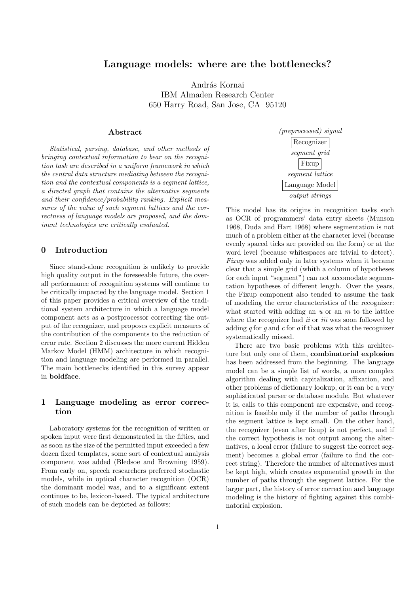# Language models: where are the bottlenecks?

András Kornai IBM Almaden Research Center 650 Harry Road, San Jose, CA 95120

#### Abstract

Statistical, parsing, database, and other methods of bringing contextual information to bear on the recognition task are described in a uniform framework in which the central data structure mediating between the recognition and the contextual components is a segment lattice, a directed graph that contains the alternative segments and their confidence/probability ranking. Explicit measures of the value of such segment lattices and the correctness of language models are proposed, and the dominant technologies are critically evaluated.

### 0 Introduction

Since stand-alone recognition is unlikely to provide high quality output in the foreseeable future, the overall performance of recognition systems will continue to be critically impacted by the language model. Section 1 of this paper provides a critical overview of the traditional system architecture in which a language model component acts as a postprocessor correcting the output of the recognizer, and proposes explicit measures of the contribution of the components to the reduction of error rate. Section 2 discusses the more current Hidden Markov Model (HMM) architecture in which recognition and language modeling are performed in parallel. The main bottlenecks identified in this survey appear in boldface.

### 1 Language modeling as error correction

Laboratory systems for the recognition of written or spoken input were first demonstrated in the fifties, and as soon as the size of the permitted input exceeded a few dozen fixed templates, some sort of contextual analysis component was added (Bledsoe and Browning 1959). From early on, speech researchers preferred stochastic models, while in optical character recognition (OCR) the dominant model was, and to a significant extent continues to be, lexicon-based. The typical architecture of such models can be depicted as follows:

(preprocessed) signal Recognizer segment grid Fixup segment lattice Language Model output strings

This model has its origins in recognition tasks such as OCR of programmers' data entry sheets (Munson 1968, Duda and Hart 1968) where segmentation is not much of a problem either at the character level (because evenly spaced ticks are provided on the form) or at the word level (because whitespaces are trivial to detect). Fixup was added only in later systems when it became clear that a simple grid (whith a column of hypotheses for each input "segment") can not accomodate segmentation hypotheses of different length. Over the years, the Fixup component also tended to assume the task of modeling the error characteristics of the recognizer: what started with adding an  $u$  or an  $m$  to the lattice where the recognizer had  $ii$  or  $iii$  was soon followed by adding  $q$  for  $q$  and  $c$  for  $q$  if that was what the recognizer systematically missed.

There are two basic problems with this architecture but only one of them, combinatorial explosion has been addressed from the beginning. The language model can be a simple list of words, a more complex algorithm dealing with capitalization, affixation, and other problems of dictionary lookup, or it can be a very sophisticated parser or database module. But whatever it is, calls to this component are expensive, and recognition is feasible only if the number of paths through the segment lattice is kept small. On the other hand, the recognizer (even after fixup) is not perfect, and if the correct hypothesis is not output among the alternatives, a local error (failure to suggest the correct segment) becomes a global error (failure to find the correct string). Therefore the number of alternatives must be kept high, which creates exponential growth in the number of paths through the segment lattice. For the larger part, the history of error correction and language modeling is the history of fighting against this combinatorial explosion.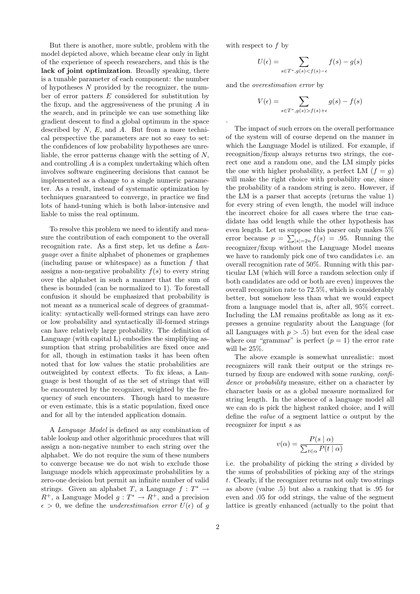But there is another, more subtle, problem with the model depicted above, which became clear only in light of the experience of speech researchers, and this is the lack of joint optimization. Broadly speaking, there is a tunable parameter of each component: the number of hypotheses  $N$  provided by the recognizer, the number of error patters  $E$  considered for substitution by the fixup, and the aggressiveness of the pruning A in the search, and in principle we can use something like gradient descent to find a global optimum in the space described by  $N$ ,  $E$ , and  $A$ . But from a more technical perspective the parameters are not so easy to set: the confidences of low probability hypotheses are unreliable, the error patterns change with the setting of N, and controlling  $A$  is a complex undertaking which often involves software engineering decisions that cannot be implemented as a change to a single numeric parameter. As a result, instead of systematic optimization by techniques guaranteed to converge, in practice we find lots of hand-tuning which is both labor-intensive and liable to miss the real optimum.

To resolve this problem we need to identify and measure the contribution of each component to the overall recognition rate. As a first step, let us define a Language over a finite alphabet of phonemes or graphemes (including pause or whitespace) as a function f that assigns a non-negative probability  $f(s)$  to every string over the alphabet in such a manner that the sum of these is bounded (can be normalized to 1). To forestall confusion it should be emphasized that probability is not meant as a numerical scale of degrees of grammaticality: syntactically well-formed strings can have zero or low probability and syntactically ill-formed strings can have relatively large probability. The definition of Language (with capital L) embodies the simplifying assumption that string probabilities are fixed once and for all, though in estimation tasks it has been often noted that for low values the static probabilities are outweighted by context effects. To fix ideas, a Language is best thought of as the set of strings that will be encountered by the recognizer, weighted by the frequency of such encounters. Though hard to measure or even estimate, this is a static population, fixed once and for all by the intended application domain.

A Language Model is defined as any combination of table lookup and other algorithmic procedures that will assign a non-negative number to each string over the alphabet. We do not require the sum of these numbers to converge because we do not wish to exclude those language models which approximate probabilities by a zero-one decision but permit an infinite number of valid strings. Given an alphabet T, a Language  $f: T^* \to$  $R^+$ , a Language Model  $g: T^* \to R^+$ , and a precision  $\epsilon > 0$ , we define the *underestimation error*  $U(\epsilon)$  of q with respect to f by

.

$$
U(\epsilon) = \sum_{s \in T^*, g(s) < f(s) - \epsilon} f(s) - g(s)
$$

and the overestimation error by

$$
V(\epsilon) = \sum_{s \in T^*, g(s) > f(s) + \epsilon} g(s) - f(s)
$$

The impact of such errors on the overall performance of the system will of course depend on the manner in which the Language Model is utilized. For example, if recognition/fixup always returns two strings, the correct one and a random one, and the LM simply picks the one with higher probability, a perfect LM  $(f = g)$ will make the right choice with probability one, since the probability of a random string is zero. However, if the LM is a parser that accepts (returns the value 1) for every string of even length, the model will induce the incorrect choice for all cases where the true candidate has odd length while the other hypothesis has even length. Let us suppose this parser only makes 5% error because  $p = \sum_{|s|=2n} f(s) = .95$ . Running the recognizer/fixup without the Language Model means we have to randomly pick one of two candidates i.e. an overall recognition rate of 50%. Running with this particular LM (which will force a random selection only if both candidates are odd or both are even) improves the overall recognition rate to 72.5%, which is considerably better, but somehow less than what we would expect from a language model that is, after all, 95% correct. Including the LM remains profitable as long as it expresses a genuine regularity about the Language (for all Languages with  $p > .5$  but even for the ideal case where our "grammar" is perfect  $(p = 1)$  the error rate will be 25%.

The above example is somewhat unrealistic: most recognizers will rank their output or the strings returned by fixup are endowed with some ranking, confidence or *probability* measure, either on a character by character basis or as a global measure normalized for string length. In the absence of a language model all we can do is pick the highest ranked choice, and I will define the *value* of a segment lattice  $\alpha$  output by the recognizer for input s as

$$
v(\alpha) = \frac{P(s \mid \alpha)}{\sum_{t \in \alpha} P(t \mid \alpha)}
$$

i.e. the probability of picking the string s divided by the sums of probabilities of picking any of the strings t. Clearly, if the recognizer returns not only two strings as above (value .5) but also a ranking that is .95 for even and .05 for odd strings, the value of the segment lattice is greatly enhanced (actually to the point that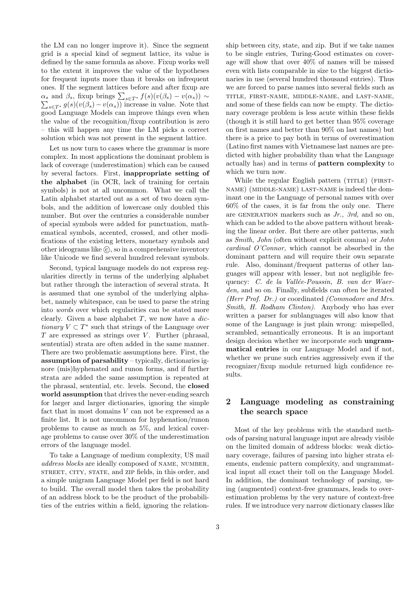the LM can no longer improve it). Since the segment grid is a special kind of segment lattice, its value is defined by the same formula as above. Fixup works well to the extent it improves the value of the hypotheses for frequent inputs more than it breaks on infrequent ones. If the segment lattices before and after fixup are  $\alpha_s$  and  $\beta_s$ , fixup brings  $\sum_{s \in T^*} f(s)(v(\beta_s) - v(\alpha_s)) \sim$ <br> $\sum_{s \in T^*} g(s)(v(\beta_s) - v(\alpha_s))$  increase in value. Note that  $\sum_{s\in T^*} g(s)(v(\beta_s)-v(\alpha_s))$  increase in value. Note that good Language Models can improve things even when the value of the recognition/fixup contribution is zero – this will happen any time the LM picks a correct solution which was not present in the segment lattice.

Let us now turn to cases where the grammar is more complex. In most applications the dominant problem is lack of coverage (underestimation) which can be caused by several factors. First, inappropriate setting of the alphabet (in OCR, lack of training for certain symbols) is not at all uncommon. What we call the Latin alphabet started out as a set of two dozen symbols, and the addition of lowercase only doubled this number. But over the centuries a considerable number of special symbols were added for punctuation, mathematical symbols, accented, crossed, and other modifications of the existing letters, monetary symbols and other ideograms like  $\ddot{\text{c}}$ , so in a comprehensive inventory like Unicode we find several hundred relevant symbols.

Second, typical language models do not express regularities directly in terms of the underlying alphabet but rather through the interaction of several strata. It is assumed that one symbol of the underlying alphabet, namely whitespace, can be used to parse the string into words over which regularities can be stated more clearly. Given a base alphabet  $T$ , we now have a *dic*tionary  $V \subset T^*$  such that strings of the Language over  $T$  are expressed as strings over  $V$ . Further (phrasal, sentential) strata are often added in the same manner. There are two problematic assumptions here. First, the assumption of parsability – typically, dictionaries ignore (mis)hyphenated and runon forms, and if further strata are added the same assumption is repeated at the phrasal, sentential, etc. levels. Second, the closed world assumption that drives the never-ending search for larger and larger dictionaries, ignoring the simple fact that in most domains  $V$  can not be expressed as a finite list. It is not uncommon for hyphenation/runon problems to cause as much as 5%, and lexical coverage problems to cause over 30% of the underestimation errors of the language model.

To take a Language of medium complexity, US mail address blocks are ideally composed of NAME, NUMBER, street, city, state, and zip fields, in this order, and a simple unigram Language Model per field is not hard to build. The overall model then takes the probability of an address block to be the product of the probabilities of the entries within a field, ignoring the relationship between city, state, and zip. But if we take names to be single entries, Turing-Good estimates on coverage will show that over 40% of names will be missed even with lists comparable in size to the biggest dictionaries in use (several hundred thousand entries). Thus we are forced to parse names into several fields such as title, first-name, middle-name, and last-name, and some of these fields can now be empty. The dictionary coverage problem is less acute within these fields (though it is still hard to get better than 95% coverage on first names and better than 90% on last names) but there is a price to pay both in terms of overestimation (Latino first names with Vietnamese last names are predicted with higher probability than what the Language actually has) and in terms of pattern complexity to which we turn now.

While the regular English pattern (TITLE) (FIRSTname) (middle-name) last-name is indeed the dominant one in the Language of personal names with over 60% of the cases, it is far from the only one. There are GENERATION markers such as  $Jr$ ., 3rd, and so on, which can be added to the above pattern without breaking the linear order. But there are other patterns, such as Smith, John (often without explicit comma) or John cardinal O'Connor, which cannot be absorbed in the dominant pattern and will require their own separate rule. Also, dominant/frequent patterns of other languages will appear with lesser, but not negligible frequency: C. de la Vallée-Poussin, B. van der Waerden, and so on. Finally, subfields can often be iterated (Herr Prof. Dr.) or coordinated (Commodore and Mrs. Smith, H. Rodham Clinton). Anybody who has ever written a parser for sublanguages will also know that some of the Language is just plain wrong: misspelled, scrambled, semantically erroneous. It is an important design decision whether we incorporate such ungrammatical entries in our Language Model and if not, whether we prune such entries aggressively even if the recognizer/fixup module returned high confidence results.

## 2 Language modeling as constraining the search space

Most of the key problems with the standard methods of parsing natural language input are already visible on the limited domain of address blocks: weak dictionary coverage, failures of parsing into higher strata elements, endemic pattern complexity, and ungrammatical input all exact their toll on the Language Model. In addition, the dominant technology of parsing, using (augmented) context-free grammars, leads to overestimation problems by the very nature of context-free rules. If we introduce very narrow dictionary classes like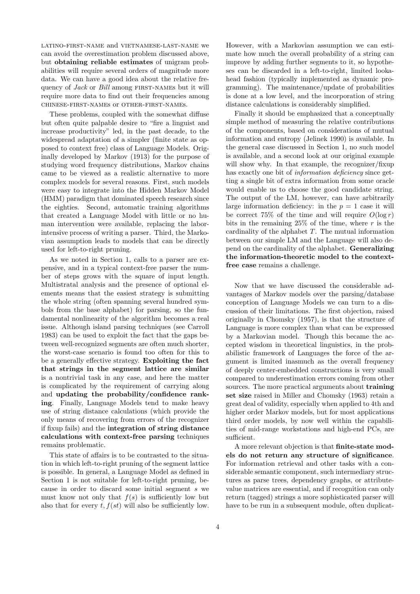latino-first-name and vietnamese-last-name we can avoid the overestimation problem discussed above, but obtaining reliable estimates of unigram probabilities will require several orders of magnitude more data. We can have a good idea about the relative frequency of *Jack* or *Bill* among FIRST-NAMES but it will require more data to find out their frequencies among chinese-first-names or other-first-names.

These problems, coupled with the somewhat diffuse but often quite palpable desire to "fire a linguist and increase productivity" led, in the past decade, to the widespread adaptation of a simpler (finite state as opposed to context free) class of Language Models. Originally developed by Markov (1913) for the purpose of studying word frequency distributions, Markov chains came to be viewed as a realistic alternative to more complex models for several reasons. First, such models were easy to integrate into the Hidden Markov Model (HMM) paradigm that dominated speech research since the eighties. Second, automatic training algorithms that created a Language Model with little or no human intervention were available, replacing the laborintensive process of writing a parser. Third, the Markovian assumption leads to models that can be directly used for left-to-right pruning.

As we noted in Section 1, calls to a parser are expensive, and in a typical context-free parser the number of steps grows with the square of input length. Multistratal analysis and the presence of optional elements means that the easiest strategy is submitting the whole string (often spanning several hundred symbols from the base alphabet) for parsing, so the fundamental nonlinearity of the algorithm becomes a real issue. Although island parsing techniques (see Carroll 1983) can be used to exploit the fact that the gaps between well-recognized segments are often much shorter, the worst-case scenario is found too often for this to be a generally effective strategy. Exploiting the fact that strings in the segment lattice are similar is a nontrivial task in any case, and here the matter is complicated by the requirement of carrying along and updating the probability/confidence ranking. Finally, Language Models tend to make heavy use of string distance calculations (which provide the only means of recovering from errors of the recognizer if fixup fails) and the integration of string distance calculations with context-free parsing techniques remains problematic.

This state of affairs is to be contrasted to the situation in which left-to-right pruning of the segment lattice is possible. In general, a Language Model as defined in Section 1 is not suitable for left-to-right pruning, because in order to discard some initial segment s we must know not only that  $f(s)$  is sufficiently low but also that for every  $t, f(st)$  will also be sufficiently low.

However, with a Markovian assumption we can estimate how much the overall probability of a string can improve by adding further segments to it, so hypotheses can be discarded in a left-to-right, limited lookahead fashion (typically implemented as dynamic programming). The maintenance/update of probabilities is done at a low level, and the incorporation of string distance calculations is considerably simplified.

Finally it should be emphasized that a conceptually simple method of measuring the relative contributions of the components, based on considerations of mutual information and entropy (Jelinek 1990) is available. In the general case discussed in Section 1, no such model is available, and a second look at our original example will show why. In that example, the recognizer/fixup has exactly one bit of information deficiency since getting a single bit of extra information from some oracle would enable us to choose the good candidate string. The output of the LM, however, can have arbitrarily large information deficiency: in the  $p = 1$  case it will be correct 75% of the time and will require  $O(\log r)$ bits in the remaining  $25\%$  of the time, where r is the cardinality of the alphabet  $T$ . The mutual information between our simple LM and the Language will also depend on the cardinality of the alphabet. Generalizing the information-theoretic model to the contextfree case remains a challenge.

Now that we have discussed the considerable advantages of Markov models over the parsing/database conception of Language Models we can turn to a discussion of their limitations. The first objection, raised originally in Chomsky (1957), is that the structure of Language is more complex than what can be expressed by a Markovian model. Though this became the accepted wisdom in theoretical linguistics, in the probabilistic framework of Languages the force of the argument is limited inasmuch as the overall frequency of deeply center-embedded constructions is very small compared to underestimation errors coming from other sources. The more practical arguments about **training** set size raised in Miller and Chomsky (1963) retain a great deal of validity, especially when applied to 4th and higher order Markov models, but for most applications third order models, by now well within the capabilities of mid-range workstations and high-end PCs, are sufficient.

A more relevant objection is that finite-state models do not return any structure of significance. For information retrieval and other tasks with a considerable semantic component, such intermediary structures as parse trees, dependency graphs, or attributevalue matrices are essential, and if recognition can only return (tagged) strings a more sophisticated parser will have to be run in a subsequent module, often duplicat